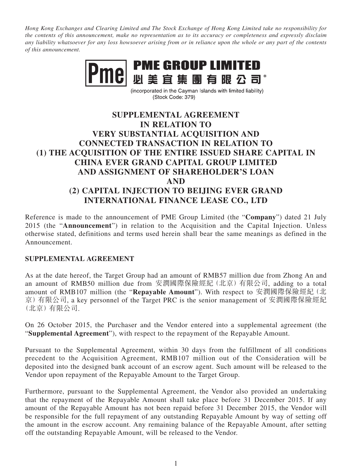*Hong Kong Exchanges and Clearing Limited and The Stock Exchange of Hong Kong Limited take no responsibility for the contents of this announcement, make no representation as to its accuracy or completeness and expressly disclaim any liability whatsoever for any loss howsoever arising from or in reliance upon the whole or any part of the contents of this announcement.*



(incorporated in the Cayman Islands with limited liability) (Stock Code: 379)

## **SUPPLEMENTAL AGREEMENT IN RELATION TO VERY SUBSTANTIAL ACQUISITION AND CONNECTED TRANSACTION IN RELATION TO (1) THE ACQUISITION OF THE ENTIRE ISSUED SHARE CAPITAL IN CHINA EVER GRAND CAPITAL GROUP LIMITED AND ASSIGNMENT OF SHAREHOLDER'S LOAN AND (2) CAPITAL INJECTION TO BEIJING EVER GRAND INTERNATIONAL FINANCE LEASE CO., LTD**

Reference is made to the announcement of PME Group Limited (the "**Company**") dated 21 July 2015 (the "**Announcement**") in relation to the Acquisition and the Capital Injection. Unless otherwise stated, definitions and terms used herein shall bear the same meanings as defined in the Announcement.

## **SUPPLEMENTAL AGREEMENT**

As at the date hereof, the Target Group had an amount of RMB57 million due from Zhong An and an amount of RMB50 million due from 安潤國際保險經紀(北京)有限公司, adding to a total amount of RMB107 million (the "Repayable Amount"). With respect to 安潤國際保險經紀(北 京)有限公司, a key personnel of the Target PRC is the senior management of 安潤國際保險經紀 (北京)有限公司.

On 26 October 2015, the Purchaser and the Vendor entered into a supplemental agreement (the "**Supplemental Agreement**"), with respect to the repayment of the Repayable Amount.

Pursuant to the Supplemental Agreement, within 30 days from the fulfillment of all conditions precedent to the Acquisition Agreement, RMB107 million out of the Consideration will be deposited into the designed bank account of an escrow agent. Such amount will be released to the Vendor upon repayment of the Repayable Amount to the Target Group.

Furthermore, pursuant to the Supplemental Agreement, the Vendor also provided an undertaking that the repayment of the Repayable Amount shall take place before 31 December 2015. If any amount of the Repayable Amount has not been repaid before 31 December 2015, the Vendor will be responsible for the full repayment of any outstanding Repayable Amount by way of setting off the amount in the escrow account. Any remaining balance of the Repayable Amount, after setting off the outstanding Repayable Amount, will be released to the Vendor.